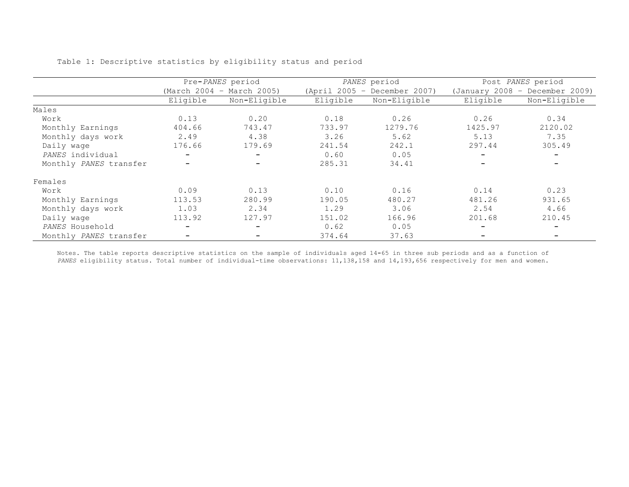|                        | Pre-PANES period         |                           |          | PANES period                 | Post PANES period              |              |  |
|------------------------|--------------------------|---------------------------|----------|------------------------------|--------------------------------|--------------|--|
|                        |                          | (March 2004 - March 2005) |          | (April 2005 - December 2007) | (January 2008 - December 2009) |              |  |
|                        | Eligible                 | Non-Eligible              | Eligible | Non-Eligible                 | Eligible                       | Non-Eligible |  |
| Males                  |                          |                           |          |                              |                                |              |  |
| Work                   | 0.13                     | 0.20                      | 0.18     | 0.26                         | 0.26                           | 0.34         |  |
| Monthly Earnings       | 404.66                   | 743.47                    | 733.97   | 1279.76                      | 1425.97                        | 2120.02      |  |
| Monthly days work      | 2.49                     | 4.38                      | 3.26     | 5.62                         | 5.13                           | 7.35         |  |
| Daily wage             | 176.66                   | 179.69                    | 241.54   | 242.1                        | 297.44                         | 305.49       |  |
| PANES individual       | $\overline{\phantom{0}}$ | Ξ.                        | 0.60     | 0.05                         | Ξ.                             |              |  |
| Monthly PANES transfer |                          |                           | 285.31   | 34.41                        |                                |              |  |
| Females                |                          |                           |          |                              |                                |              |  |
| Work                   | 0.09                     | 0.13                      | 0.10     | 0.16                         | 0.14                           | 0.23         |  |
| Monthly Earnings       | 113.53                   | 280.99                    | 190.05   | 480.27                       | 481.26                         | 931.65       |  |
| Monthly days work      | 1.03                     | 2.34                      | 1.29     | 3.06                         | 2.54                           | 4.66         |  |
| Daily wage             | 113.92                   | 127.97                    | 151.02   | 166.96                       | 201.68                         | 210.45       |  |
| PANES Household        |                          | $\overline{\phantom{0}}$  | 0.62     | 0.05                         | -                              |              |  |
| Monthly PANES transfer |                          |                           | 374.64   | 37.63                        |                                |              |  |

Table 1: Descriptive statistics by eligibility status and period

Notes. The table reports descriptive statistics on the sample of individuals aged 14**-**65 in three sub periods and as a function of *PANES* eligibility status. Total number of individual-time observations: 11,138,158 and 14,193,656 respectively for men and women.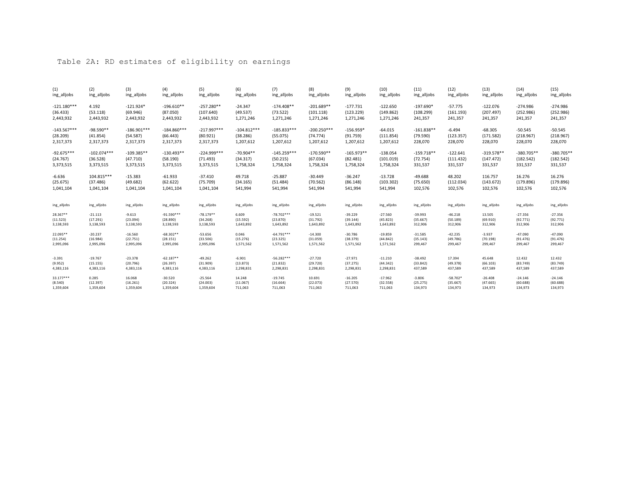## Table 2A: RD estimates of eligibility on earnings

| (1)           | (2)           | (3)           | (4)           | (5)           | (6)           | (7)           | (8)           | (9)          | (10)        | (11)         | (12)        | (13)         | (14)         | (15)         |
|---------------|---------------|---------------|---------------|---------------|---------------|---------------|---------------|--------------|-------------|--------------|-------------|--------------|--------------|--------------|
| ing_alljobs   | ing_alljobs   | ing alljobs   | ing alljobs   | ing_alljobs   | ing alljobs   | ing_alljobs   | ing_alljobs   | ing alljobs  | ing_alljobs | ing_alljobs  | ing_alljobs | ing_alljobs  | ing_alljobs  | ing_alljobs  |
| $-121.180***$ | 4.192         | $-121.924*$   | $-196.610**$  | $-257.280**$  | $-24.347$     | $-174.408**$  | $-201.689**$  | $-177.731$   | $-122.650$  | $-197.690*$  | $-57.775$   | $-122.076$   | $-274.986$   | $-274.986$   |
| (36.433)      | (53.118)      | (69.946)      | (87.050)      | (107.640)     | (49.537)      | (73.522)      | (101.118)     | (123.229)    | (149.862)   | (108.299)    | (161.193)   | (207.497)    | (252.986)    | (252.986)    |
| 2,443,932     | 2,443,932     | 2,443,932     | 2,443,932     | 2,443,932     | 1,271,246     | 1,271,246     | 1,271,246     | 1,271,246    | 1,271,246   | 241,357      | 241,357     | 241,357      | 241,357      | 241,357      |
| $-143.567***$ | $-98.590**$   | $-186.901***$ | $-184.860***$ | $-217.997***$ | $-104.812***$ | $-185.833***$ | $-200.250***$ | $-156.959*$  | $-64.015$   | $-161.838**$ | $-6.494$    | $-68.305$    | $-50.545$    | $-50.545$    |
| (28.209)      | (41.854)      | (54.587)      | (66.443)      | (80.921)      | (38.286)      | (55.075)      | (74.774)      | (91.759)     | (111.854)   | (79.590)     | (123.357)   | (171.582)    | (218.967)    | (218.967)    |
| 2,317,373     | 2,317,373     | 2,317,373     | 2,317,373     | 2,317,373     | 1,207,612     | 1,207,612     | 1,207,612     | 1,207,612    | 1,207,612   | 228,070      | 228,070     | 228,070      | 228,070      | 228,070      |
| $-92.675***$  | $-102.074***$ | $-109.385**$  | $-130.493**$  | $-224.999***$ | $-70.904**$   | $-145.259***$ | $-170.590**$  | $-165.973**$ | $-138.054$  | $-159.718**$ | $-122.641$  | $-319.578**$ | $-380.705**$ | $-380.705**$ |
| (24.767)      | (36.528)      | (47.710)      | (58.190)      | (71.493)      | (34.317)      | (50.215)      | (67.034)      | (82.481)     | (101.019)   | (72.754)     | (111.432)   | (147.472)    | (182.542)    | (182.542)    |
| 3,373,515     | 3,373,515     | 3,373,515     | 3,373,515     | 3,373,515     | 1,758,324     | 1,758,324     | 1,758,324     | 1,758,324    | 1,758,324   | 331,537      | 331,537     | 331,537      | 331,537      | 331,537      |
| $-6.636$      | 104.815***    | $-15.383$     | $-61.933$     | $-37.410$     | 49.718        | $-25.887$     | $-30.449$     | $-36.247$    | $-13.728$   | $-49.688$    | 48.202      | 116.757      | 16.276       | 16.276       |
| (25.675)      | (37.486)      | (49.682)      | (62.622)      | (75.709)      | (34.165)      | (51.484)      | (70.562)      | (86.148)     | (103.302)   | (75.650)     | (112.034)   | (143.672)    | (179.896)    | (179.896)    |
| 1,041,104     | 1,041,104     | 1,041,104     | 1,041,104     | 1,041,104     | 541,994       | 541,994       | 541,994       | 541,994      | 541,994     | 102,576      | 102,576     | 102,576      | 102,576      | 102,576      |
| ing_alljobs   | ing_alljobs   | ing_alljobs   | ing_alljobs   | ing_alljobs   | ing_alljobs   | ing_alljobs   | ing_alljobs   | ing_alljobs  | ing_alljobs | ing_alljobs  | ing_alljobs | ing_alljobs  | ing_alljobs  | ing_alljobs  |
| 28.367**      | $-21.113$     | $-9.613$      | $-91.590***$  | $-78.179**$   | 6.609         | $-78.702***$  | $-19.521$     | $-39.229$    | $-27.560$   | $-39.993$    | $-46.218$   | 13.505       | $-27.356$    | $-27.356$    |
| (11.523)      | (17.291)      | (23.094)      | (28.890)      | (34.268)      | (15.592)      | (23.870)      | (31.792)      | (39.144)     | (45.823)    | (35.667)     | (50.189)    | (69.910)     | (92.771)     | (92.771)     |
| 3,138,593     | 3,138,593     | 3,138,593     | 3,138,593     | 3,138,593     | 1,643,892     | 1,643,892     | 1,643,892     | 1,643,892    | 1,643,892   | 312,906      | 312,906     | 312,906      | 312,906      | 312,906      |
| 22.095**      | $-20.237$     | $-16.560$     | $-68.302**$   | $-53.656$     | 0.046         | $-64.791***$  | $-14.300$     | $-30.786$    | $-19.859$   | $-31.585$    | $-42.235$   | $-3.937$     | $-47.090$    | $-47.090$    |
| (11.254)      | (16.984)      | (22.751)      | (28.151)      | (33.506)      | (15.276)      | (23.325)      | (31.059)      | (38.379)     | (44.842)    | (35.143)     | (49.786)    | (70.198)     | (91.476)     | (91.476)     |
| 2,995,096     | 2,995,096     | 2,995,096     | 2,995,096     | 2,995,096     | 1,571,562     | 1,571,562     | 1,571,562     | 1,571,562    | 1,571,562   | 299,467      | 299,467     | 299,467      | 299,467      | 299,467      |
| $-3.391$      | $-19.767$     | $-23.378$     | $-62.187**$   | $-49.262$     | $-6.901$      | $-56.282***$  | $-27.720$     | $-27.971$    | $-11.210$   | $-38.492$    | 17.394      | 45.648       | 12.432       | 12.432       |
| (9.952)       | (15.155)      | (20.796)      | (26.397)      | (31.909)      | (13.873)      | (21.832)      | (29.720)      | (37.275)     | (44.342)    | (33.842)     | (49.378)    | (66.103)     | (83.749)     | (83.749)     |
| 4,383,116     | 4,383,116     | 4,383,116     | 4,383,116     | 4,383,116     | 2,298,831     | 2,298,831     | 2,298,831     | 2,298,831    | 2,298,831   | 437,589      | 437,589     | 437,589      | 437,589      | 437,589      |
| 33.177***     | 0.285         | 16.068        | $-30.520$     | $-25.564$     | 14.248        | $-19.745$     | 10.691        | $-16.205$    | $-17.962$   | $-3.806$     | $-58.702*$  | $-26.408$    | $-24.146$    | $-24.146$    |
| (8.540)       | (12.397)      | (16.261)      | (20.324)      | (24.003)      | (11.067)      | (16.664)      | (22.073)      | (27.570)     | (32.558)    | (25.275)     | (35.667)    | (47.665)     | (60.688)     | (60.688)     |
| 1,359,604     | 1,359,604     | 1,359,604     | 1,359,604     | 1,359,604     | 711,063       | 711,063       | 711,063       | 711,063      | 711,063     | 134,973      | 134,973     | 134,973      | 134,973      | 134,973      |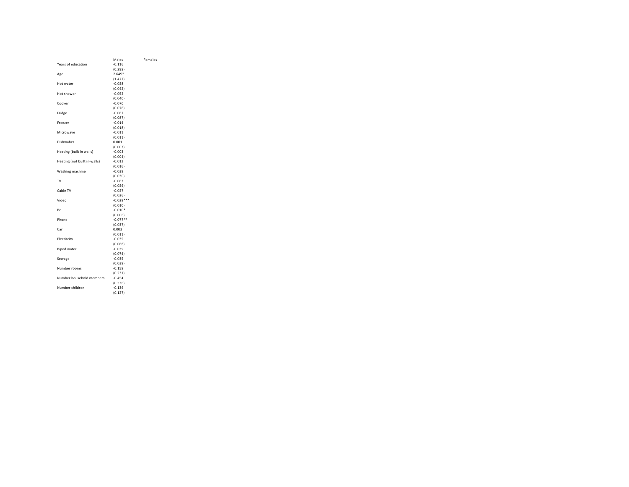|                              | Males       | Females |
|------------------------------|-------------|---------|
| Years of education           | $-0.116$    |         |
|                              | (0.298)     |         |
|                              | $2.649*$    |         |
| Age                          |             |         |
|                              | (1.477)     |         |
| Hot water                    | $-0.028$    |         |
|                              | (0.042)     |         |
| Hot shower                   | $-0.052$    |         |
|                              | (0.040)     |         |
| Cooker                       | $-0.070$    |         |
|                              | (0.076)     |         |
| Fridge                       | $-0.067$    |         |
|                              | (0.087)     |         |
| Freezer                      | $-0.014$    |         |
|                              | (0.018)     |         |
| Microwave                    | $-0.011$    |         |
|                              | (0.011)     |         |
| Dishwaher                    | 0.001       |         |
|                              | (0.003)     |         |
| Heating (built in walls)     | $-0.003$    |         |
|                              | (0.004)     |         |
| Heating (not built in-walls) | $-0.012$    |         |
|                              | (0.016)     |         |
| Washing machine              | $-0.039$    |         |
|                              | (0.030)     |         |
| TV                           | $-0.063$    |         |
|                              | (0.026)     |         |
| Cable TV                     | $-0.027$    |         |
|                              | (0.026)     |         |
| Video                        | $-0.029***$ |         |
|                              | (0.010)     |         |
| Pc                           | $-0.010*$   |         |
|                              | (0.006)     |         |
| Phone                        | $-0.077**$  |         |
|                              | (0.037)     |         |
| Car                          | 0.003       |         |
|                              | (0.011)     |         |
| Electircity                  | $-0.035$    |         |
|                              | (0.068)     |         |
| Piped water                  | $-0.039$    |         |
|                              | (0.074)     |         |
| Sewage                       | $-0.035$    |         |
|                              | (0.039)     |         |
| Number rooms                 | $-0.158$    |         |
|                              | (0.231)     |         |
| Number household members     | $-0.454$    |         |
|                              | (0.336)     |         |
| Number children              | $-0.136$    |         |
|                              | (0.127)     |         |
|                              |             |         |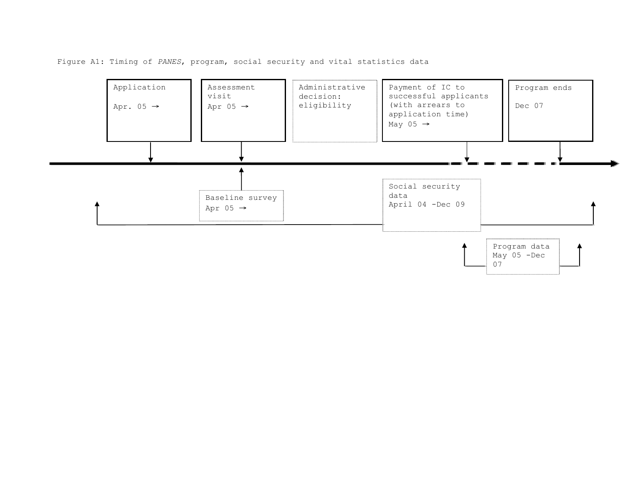Figure A1: Timing of *PANES*, program, social security and vital statistics data

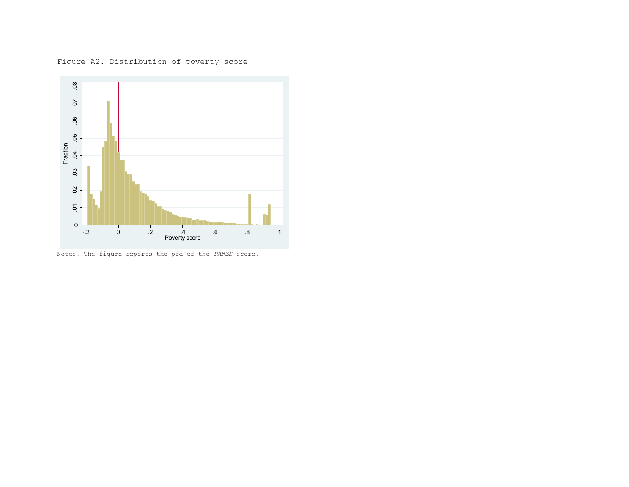Figure A2. Distribution of poverty score



Notes. The figure reports the pfd of the *PANES* score.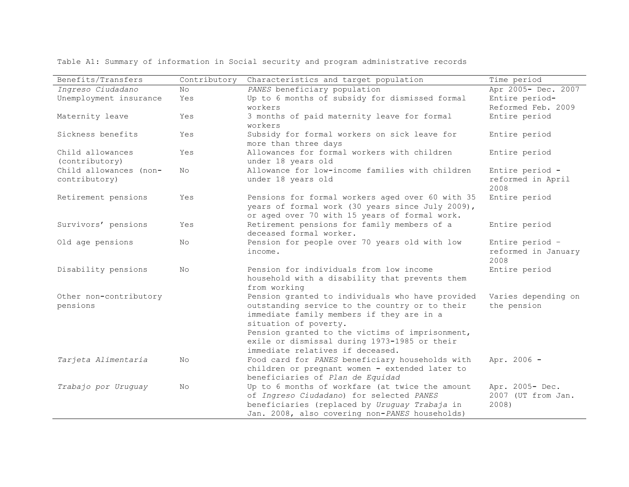| Benefits/Transfers     | Contributory | Characteristics and target population                                                       | Time period                                    |
|------------------------|--------------|---------------------------------------------------------------------------------------------|------------------------------------------------|
| Ingreso Ciudadano      | No           | PANES beneficiary population                                                                | Apr 2005- Dec. 2007                            |
| Unemployment insurance | Yes          | Up to 6 months of subsidy for dismissed formal                                              | Entire period-                                 |
|                        |              | workers                                                                                     | Reformed Feb. 2009                             |
| Maternity leave        | Yes          | 3 months of paid maternity leave for formal<br>workers                                      | Entire period                                  |
| Sickness benefits      | Yes          | Subsidy for formal workers on sick leave for                                                | Entire period                                  |
|                        |              | more than three days                                                                        |                                                |
| Child allowances       | Yes          | Allowances for formal workers with children                                                 | Entire period                                  |
| (contributory)         |              | under 18 years old                                                                          |                                                |
| Child allowances (non- | No           | Allowance for low-income families with children                                             | Entire period -                                |
| contributory)          |              | under 18 years old                                                                          | reformed in April<br>2008                      |
| Retirement pensions    | Yes          | Pensions for formal workers aged over 60 with 35                                            | Entire period                                  |
|                        |              | years of formal work (30 years since July 2009),                                            |                                                |
|                        |              | or aged over 70 with 15 years of formal work.                                               |                                                |
| Survivors' pensions    | Yes          | Retirement pensions for family members of a                                                 | Entire period                                  |
|                        |              | deceased formal worker.                                                                     |                                                |
| Old age pensions       | No           | Pension for people over 70 years old with low<br>income.                                    | Entire period -<br>reformed in January<br>2008 |
| Disability pensions    | No           | Pension for individuals from low income                                                     | Entire period                                  |
|                        |              | household with a disability that prevents them                                              |                                                |
|                        |              | from working                                                                                |                                                |
| Other non-contributory |              | Pension granted to individuals who have provided                                            | Varies depending on                            |
| pensions               |              | outstanding service to the country or to their                                              | the pension                                    |
|                        |              | immediate family members if they are in a                                                   |                                                |
|                        |              | situation of poverty.                                                                       |                                                |
|                        |              | Pension granted to the victims of imprisonment,                                             |                                                |
|                        |              | exile or dismissal during 1973-1985 or their                                                |                                                |
|                        |              | immediate relatives if deceased.                                                            |                                                |
| Tarjeta Alimentaria    | No           | Food card for PANES beneficiary households with                                             | Apr. 2006 -                                    |
|                        |              | children or pregnant women - extended later to                                              |                                                |
|                        |              | beneficiaries of Plan de Equidad                                                            |                                                |
| Trabajo por Uruguay    | No           | Up to 6 months of workfare (at twice the amount<br>of Ingreso Ciudadano) for selected PANES | Apr. 2005- Dec.                                |
|                        |              |                                                                                             | 2007 (UT from Jan.                             |
|                        |              | beneficiaries (replaced by Uruguay Trabaja in                                               | 2008)                                          |

Table A1: Summary of information in Social security and program administrative records